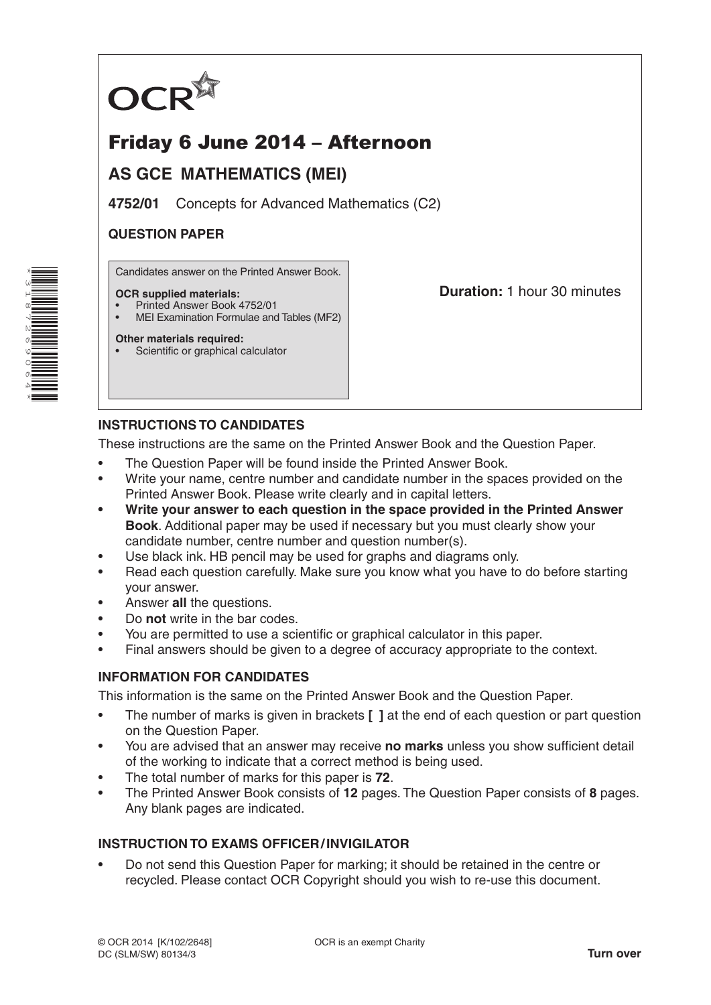

# Friday 6 June 2014 – Afternoon

## **AS GCE MATHEMATICS (MEI)**

**4752/01** Concepts for Advanced Mathematics (C2)

### **QUESTION PAPER**

Candidates answer on the Printed Answer Book.

#### **OCR supplied materials:**

- Printed Answer Book 4752/01
- MEI Examination Formulae and Tables (MF2)

**Other materials required:** Scientific or graphical calculator **Duration:** 1 hour 30 minutes

## **INSTRUCTIONS TO CANDIDATES**

These instructions are the same on the Printed Answer Book and the Question Paper.

- The Question Paper will be found inside the Printed Answer Book.
- Write your name, centre number and candidate number in the spaces provided on the Printed Answer Book. Please write clearly and in capital letters.
- **• Write your answer to each question in the space provided in the Printed Answer Book**. Additional paper may be used if necessary but you must clearly show your candidate number, centre number and question number(s).
- Use black ink. HB pencil may be used for graphs and diagrams only.
- Read each question carefully. Make sure you know what you have to do before starting your answer.
- Answer **all** the questions.
- Do **not** write in the bar codes.
- You are permitted to use a scientific or graphical calculator in this paper.
- Final answers should be given to a degree of accuracy appropriate to the context.

#### **INFORMATION FOR CANDIDATES**

This information is the same on the Printed Answer Book and the Question Paper.

- The number of marks is given in brackets **[ ]** at the end of each question or part question on the Question Paper.
- You are advised that an answer may receive **no marks** unless you show sufficient detail of the working to indicate that a correct method is being used.
- The total number of marks for this paper is **72**.
- The Printed Answer Book consists of **12** pages. The Question Paper consists of **8** pages. Any blank pages are indicated.

#### **INSTRUCTION TO EXAMS OFFICER/INVIGILATOR**

• Do not send this Question Paper for marking; it should be retained in the centre or recycled. Please contact OCR Copyright should you wish to re-use this document.

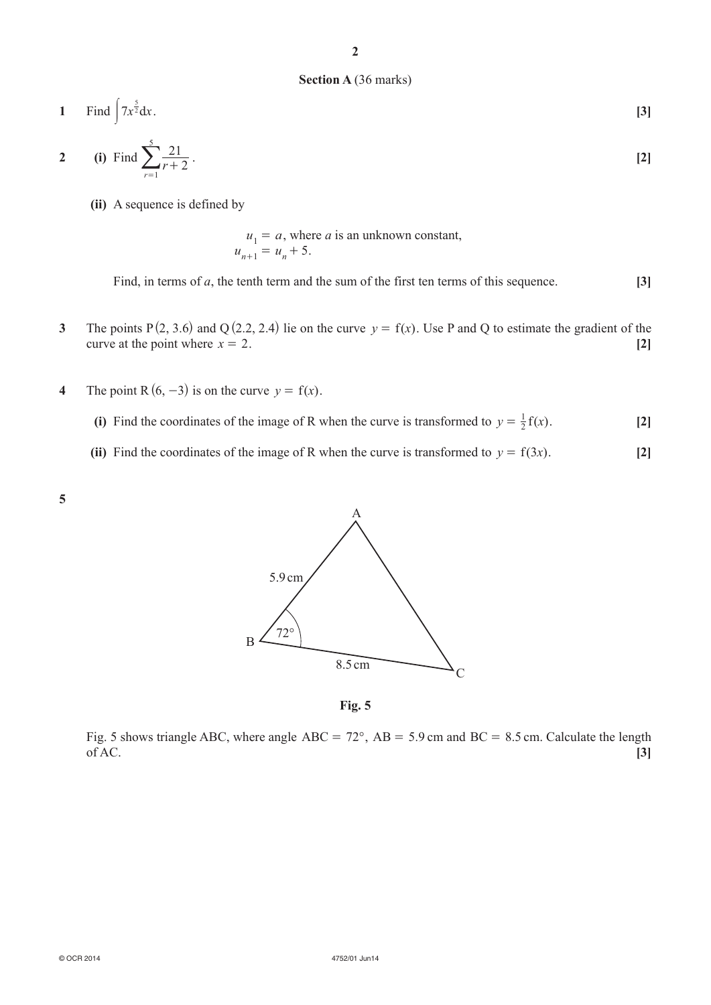#### **Section A** (36 marks)

1 Find 
$$
\int 7x^{\frac{5}{2}} dx
$$
. [3]

2 (i) Find 
$$
\sum_{r=1}^{5} \frac{21}{r+2}
$$
. [2]

**(ii)** A sequence is defined by

$$
u_1 = a
$$
, where *a* is an unknown constant,  
 $u_{n+1} = u_n + 5$ .

Find, in terms of *a*, the tenth term and the sum of the first ten terms of this sequence. **[3]**

- **3** The points P $(2, 3.6)$  and Q  $(2.2, 2.4)$  lie on the curve  $y = f(x)$ . Use P and Q to estimate the gradient of the curve at the point where  $x = 2$ . **[2]**
- **4** The point R $(6, -3)$  is on the curve  $y = f(x)$ .
	- (i) Find the coordinates of the image of R when the curve is transformed to  $y = \frac{1}{2}f(x)$ . [2]
	- (ii) Find the coordinates of the image of R when the curve is transformed to  $y = f(3x)$ . [2]





**Fig. 5**

Fig. 5 shows triangle ABC, where angle ABC =  $72^{\circ}$ , AB = 5.9 cm and BC = 8.5 cm. Calculate the length of AC. **[3]**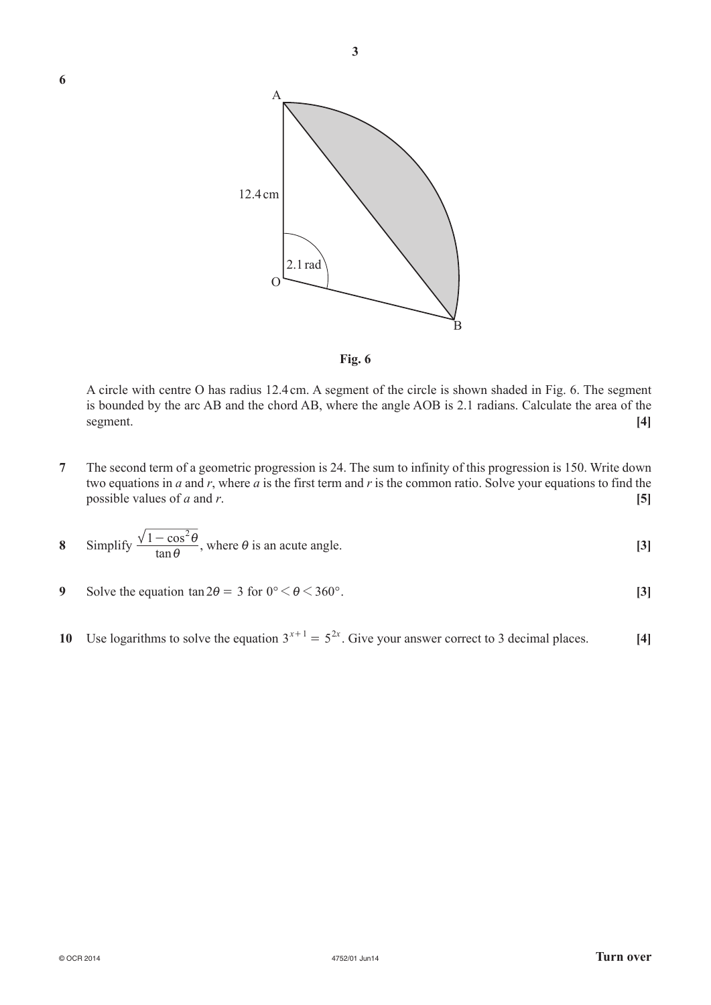



A circle with centre O has radius 12.4 cm. A segment of the circle is shown shaded in Fig. 6. The segment is bounded by the arc AB and the chord AB, where the angle AOB is 2.1 radians. Calculate the area of the segment. **[4]**

**7** The second term of a geometric progression is 24. The sum to infinity of this progression is 150. Write down two equations in *a* and *r*, where *a* is the first term and *r* is the common ratio. Solve your equations to find the possible values of *a* and *r*. **[5]**

8 Simplify 
$$
\frac{\sqrt{1-\cos^2{\theta}}}{\tan{\theta}}
$$
, where  $\theta$  is an acute angle.

- **9** Solve the equation  $\tan 2\theta = 3$  for  $0^{\circ} < \theta < 360^{\circ}$ . [3]
- **10** Use logarithms to solve the equation  $3^{x+1} = 5^{2x}$ . Give your answer correct to 3 decimal places. [4]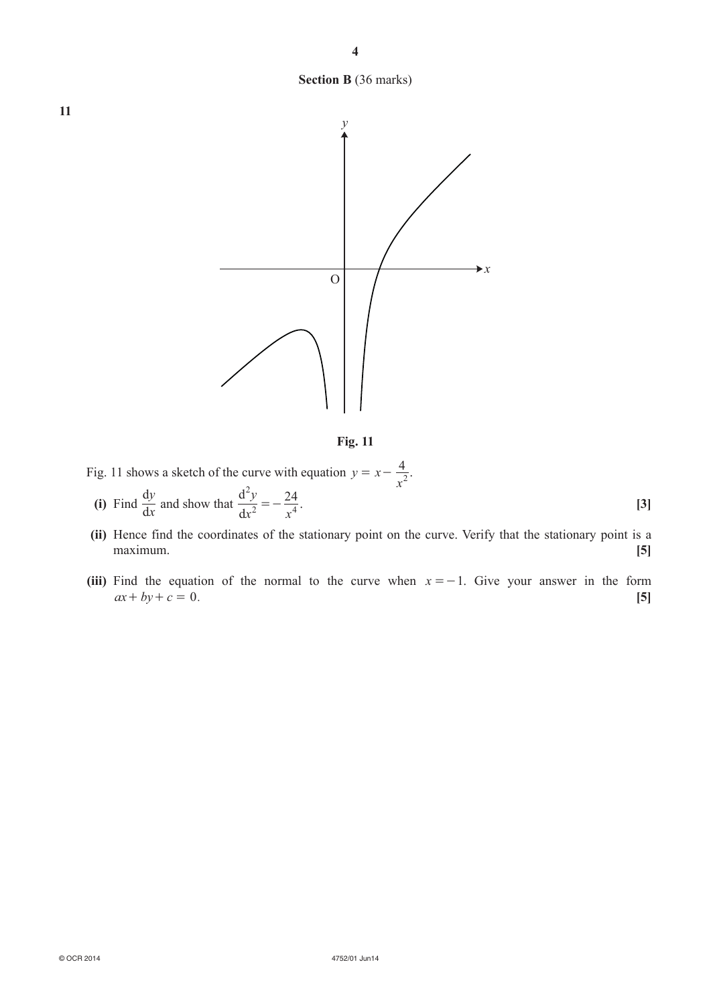

**Fig. 11**

Fig. 11 shows a sketch of the curve with equation  $y = x$  $= x - \frac{4}{2}.$ 

- *x* **(i)** Find  $\frac{dy}{dx}$ *y*  $\frac{dy}{dx}$  and show that *x y x* 24 d d 2 2  $=-\frac{24}{4}$ . [3]
- **(ii)** Hence find the coordinates of the stationary point on the curve. Verify that the stationary point is a maximum. **[5]**
- (iii) Find the equation of the normal to the curve when  $x = -1$ . Give your answer in the form  $ax + by + c = 0.$  [5]

**Section B** (36 marks)

**11**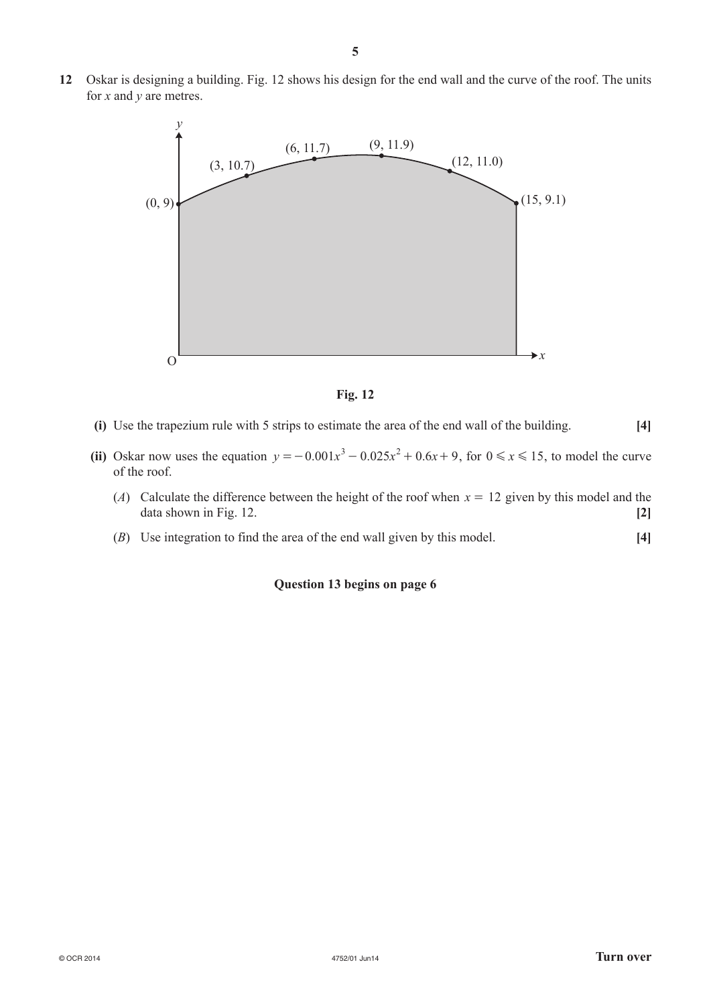**12** Oskar is designing a building. Fig. 12 shows his design for the end wall and the curve of the roof. The units for *x* and *y* are metres.





- **(i)** Use the trapezium rule with 5 strips to estimate the area of the end wall of the building. **[4]**
- (ii) Oskar now uses the equation  $y = -0.001x^3 0.025x^2 + 0.6x + 9$ , for  $0 \le x \le 15$ , to model the curve of the roof.
	- (*A*) Calculate the difference between the height of the roof when *x* = 12 given by this model and the data shown in Fig. 12. **[2]**
	- (*B*) Use integration to find the area of the end wall given by this model. **[4]**

#### **Question 13 begins on page 6**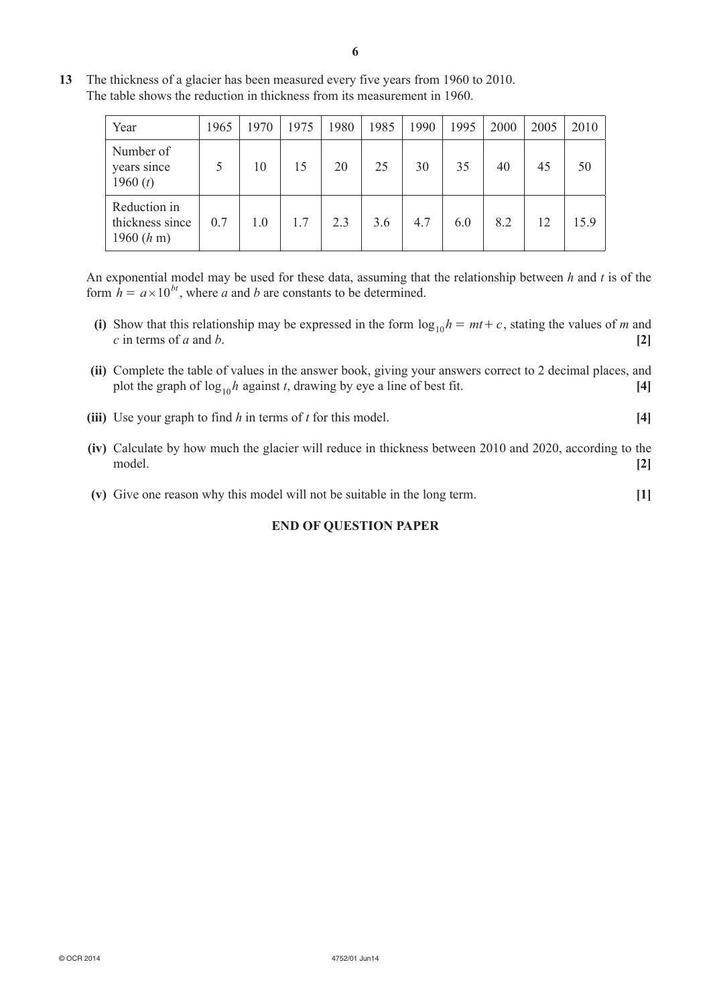**13** The thickness of a glacier has been measured every five years from 1960 to 2010. The table shows the reduction in thickness from its measurement in 1960.

| Year                                                      | 1965 | 1970 | 1975 | 1980 | 1985 | 1990 | 1995 | 2000 | 2005 | 2010 |
|-----------------------------------------------------------|------|------|------|------|------|------|------|------|------|------|
| Number of<br>years since<br>1960 $(t)$                    |      | 10   | 15   | 20   | 25   | 30   | 35   | 40   | 45   | 50   |
| Reduction in<br>thickness since<br>1960 $(h \, \text{m})$ | 0.7  | 1.0  | 1.7  | 2.3  | 3.6  | 4.7  | 6.0  | 8.2  | 12   | 15.9 |

An exponential model may be used for these data, assuming that the relationship between *h* and *t* is of the form  $\hat{h} = a \times 10^{bt}$ , where *a* and *b* are constants to be determined.

- (i) Show that this relationship may be expressed in the form  $\log_{10} h = mt + c$ , stating the values of *m* and *c* in terms of *a* and *b*.  $c$  in terms of  $a$  and  $b$ .
- **(ii)** Complete the table of values in the answer book, giving your answers correct to 2 decimal places, and plot the graph of  $\log_{10} h$  against *t*, drawing by eye a line of best fit.  $[4]$
- **(iii)** Use your graph to find *h* in terms of *t* for this model. **[4]**
- **(iv)** Calculate by how much the glacier will reduce in thickness between 2010 and 2020, according to the model. **[2]**
- **(v)** Give one reason why this model will not be suitable in the long term. **[1]**

#### **END OF QUESTION PAPER**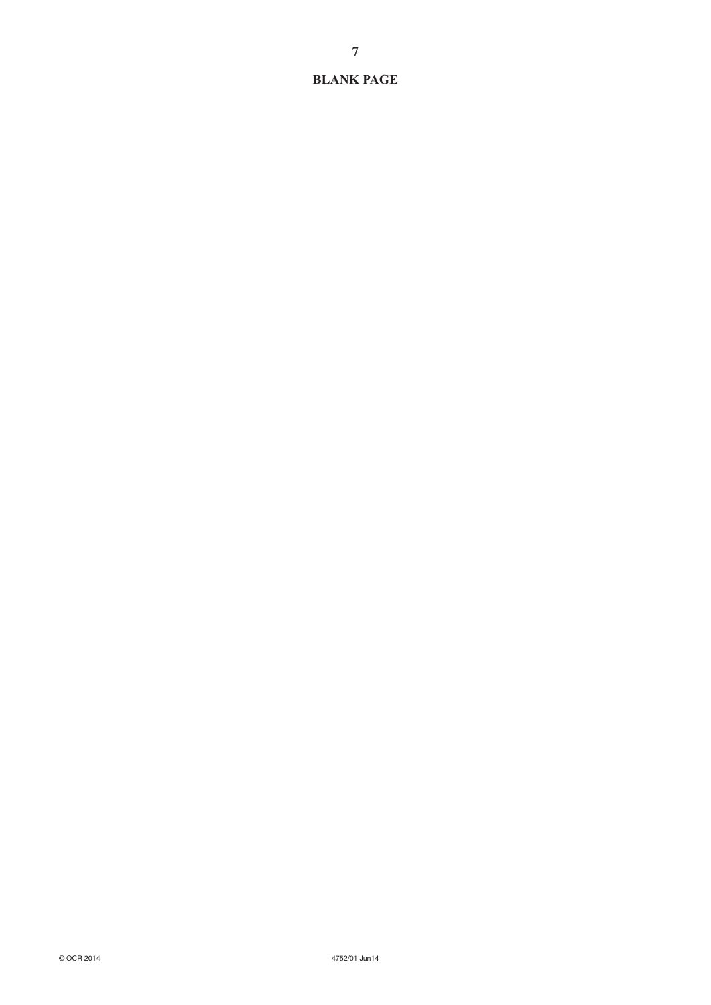#### **BLANK PAGE**